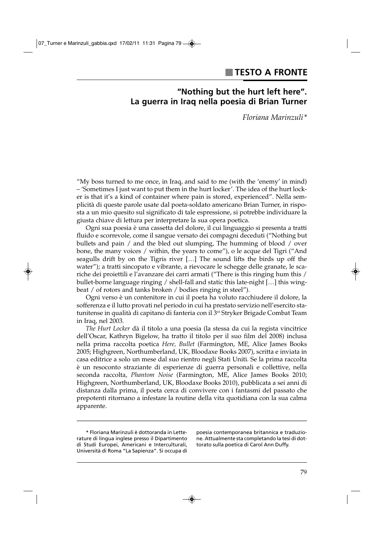# **"Nothing but the hurt left here". La guerra in Iraq nella poesia di Brian Turner**

*Floriana Marinzuli\**

"My boss turned to me once, in Iraq, and said to me (with the 'enemy' in mind) – 'Sometimes I just want to put them in the hurt locker'. The idea of the hurt locker is that it's a kind of container where pain is stored, experienced". Nella semplicità di queste parole usate dal poeta-soldato americano Brian Turner, in risposta a un mio quesito sul significato di tale espressione, si potrebbe individuare la giusta chiave di lettura per interpretare la sua opera poetica.

Ogni sua poesia è una cassetta del dolore, il cui linguaggio si presenta a tratti fluido e scorrevole, come il sangue versato dei compagni deceduti ("Nothing but bullets and pain / and the bled out slumping, The humming of blood / over bone, the many voices / within, the years to come"), o le acque del Tigri ("And seagulls drift by on the Tigris river […] The sound lifts the birds up off the water"); a tratti sincopato e vibrante, a rievocare le schegge delle granate, le scariche dei proiettili e l'avanzare dei carri armati ("There is this ringing hum this / bullet-borne language ringing / shell-fall and static this late-night […] this wingbeat / of rotors and tanks broken / bodies ringing in steel").

Ogni verso è un contenitore in cui il poeta ha voluto racchiudere il dolore, la sofferenza e il lutto provati nel periodo in cui ha prestato servizio nell'esercito statunitense in qualità di capitano di fanteria con il 3<sup>rd</sup> Stryker Brigade Combat Team in Iraq, nel 2003.

*The Hurt Locker* dà il titolo a una poesia (la stessa da cui la regista vincitrice dell'Oscar, Kathryn Bigelow, ha tratto il titolo per il suo film del 2008) inclusa nella prima raccolta poetica *Here, Bullet* (Farmington, ME, Alice James Books 2005; Highgreen, Northumberland, UK, Bloodaxe Books 2007), scritta e inviata in casa editrice a solo un mese dal suo rientro negli Stati Uniti. Se la prima raccolta è un resoconto straziante di esperienze di guerra personali e collettive, nella seconda raccolta, *Phantom Noise* (Farmington, ME, Alice James Books 2010; Highgreen, Northumberland, UK, Bloodaxe Books 2010), pubblicata a sei anni di distanza dalla prima, il poeta cerca di convivere con i fantasmi del passato che prepotenti ritornano a infestare la routine della vita quotidiana con la sua calma apparente.

poesia contemporanea britannica e traduzione. Attualmente sta completando la tesi di dottorato sulla poetica di Carol Ann Duffy.

<sup>\*</sup> Floriana Marinzuli è dottoranda in Letterature di lingua inglese presso il Dipartimento di Studi Europei, Americani e Interculturali, Università di Roma "La Sapienza". Si occupa di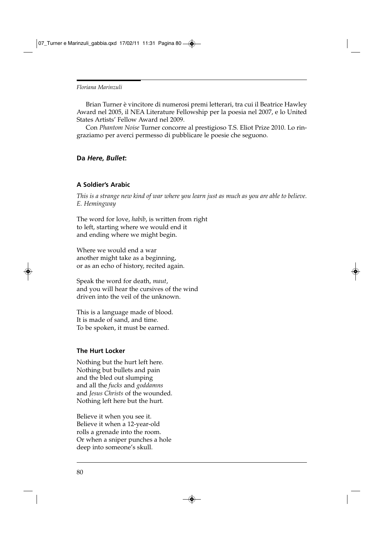Brian Turner è vincitore di numerosi premi letterari, tra cui il Beatrice Hawley Award nel 2005, il NEA Literature Fellowship per la poesia nel 2007, e lo United States Artists' Fellow Award nel 2009.

Con *Phantom Noise* Turner concorre al prestigioso T.S. Eliot Prize 2010. Lo ringraziamo per averci permesso di pubblicare le poesie che seguono.

# **Da** *Here, Bullet***:**

#### **A Soldier's Arabic**

*This is a strange new kind of war where you learn just as much as you are able to believe. E. Hemingway*

The word for love, *habib*, is written from right to left, starting where we would end it and ending where we might begin.

Where we would end a war another might take as a beginning, or as an echo of history, recited again.

Speak the word for death, *maut*, and you will hear the cursives of the wind driven into the veil of the unknown.

This is a language made of blood. It is made of sand, and time. To be spoken, it must be earned.

# **The Hurt Locker**

Nothing but the hurt left here. Nothing but bullets and pain and the bled out slumping and all the *fucks* and *goddamns* and *Jesus Christs* of the wounded. Nothing left here but the hurt.

Believe it when you see it. Believe it when a 12-year-old rolls a grenade into the room. Or when a sniper punches a hole deep into someone's skull.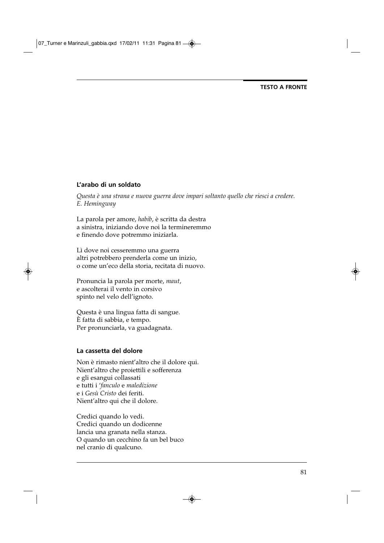## **L'arabo di un soldato**

*Questa è una strana e nuova guerra dove impari soltanto quello che riesci a credere. E. Hemingway*

La parola per amore, *habib*, è scritta da destra a sinistra, iniziando dove noi la termineremmo e finendo dove potremmo iniziarla.

Lì dove noi cesseremmo una guerra altri potrebbero prenderla come un inizio, o come un'eco della storia, recitata di nuovo.

Pronuncia la parola per morte, *maut*, e ascolterai il vento in corsivo spinto nel velo dell'ignoto.

Questa è una lingua fatta di sangue. È fatta di sabbia, e tempo. Per pronunciarla, va guadagnata.

## **La cassetta del dolore**

Non è rimasto nient'altro che il dolore qui. Nient'altro che proiettili e sofferenza e gli esangui collassati e tutti i '*fanculo* e *maledizione* e i *Gesù Cristo* dei feriti. Nient'altro qui che il dolore.

Credici quando lo vedi. Credici quando un dodicenne lancia una granata nella stanza. O quando un cecchino fa un bel buco nel cranio di qualcuno.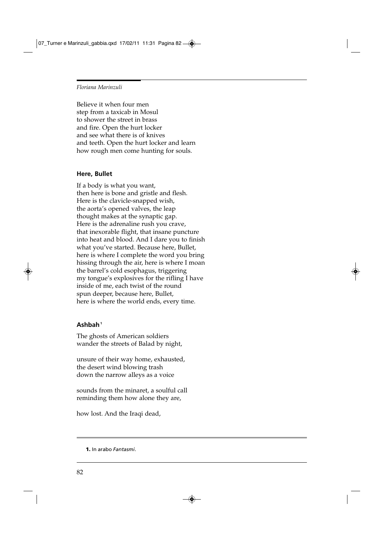Believe it when four men step from a taxicab in Mosul to shower the street in brass and fire. Open the hurt locker and see what there is of knives and teeth. Open the hurt locker and learn how rough men come hunting for souls.

## **Here, Bullet**

If a body is what you want, then here is bone and gristle and flesh. Here is the clavicle-snapped wish, the aorta's opened valves, the leap thought makes at the synaptic gap. Here is the adrenaline rush you crave, that inexorable flight, that insane puncture into heat and blood. And I dare you to finish what you've started. Because here, Bullet, here is where I complete the word you bring hissing through the air, here is where I moan the barrel's cold esophagus, triggering my tongue's explosives for the rifling I have inside of me, each twist of the round spun deeper, because here, Bullet, here is where the world ends, every time.

#### **Ashbah1**

The ghosts of American soldiers wander the streets of Balad by night,

unsure of their way home, exhausted, the desert wind blowing trash down the narrow alleys as a voice

sounds from the minaret, a soulful call reminding them how alone they are,

how lost. And the Iraqi dead,

**1.** In arabo *Fantasmi*.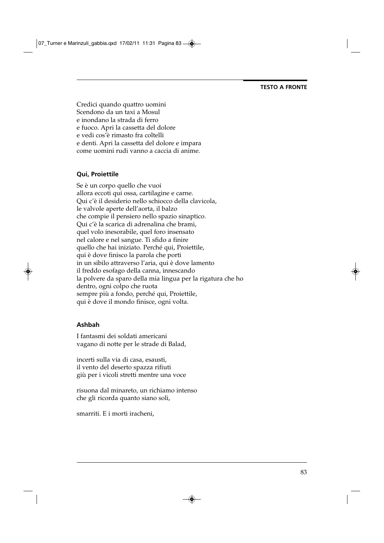07\_Turner e Marinzuli\_gabbia.qxd 17/02/11 11:31 Pagina 83 $\circledast$ 

#### **TESTO A FRONTE**

Credici quando quattro uomini Scendono da un taxi a Mosul e inondano la strada di ferro e fuoco. Apri la cassetta del dolore e vedi cos'è rimasto fra coltelli e denti. Apri la cassetta del dolore e impara come uomini rudi vanno a caccia di anime.

# **Qui, Proiettile**

Se è un corpo quello che vuoi allora eccoti qui ossa, cartilagine e carne. Qui c'è il desiderio nello schiocco della clavicola, le valvole aperte dell'aorta, il balzo che compie il pensiero nello spazio sinaptico. Qui c'è la scarica di adrenalina che brami, quel volo inesorabile, quel foro insensato nel calore e nel sangue. Ti sfido a finire quello che hai iniziato. Perché qui, Proiettile, qui è dove finisco la parola che porti in un sibilo attraverso l'aria, qui è dove lamento il freddo esofago della canna, innescando la polvere da sparo della mia lingua per la rigatura che ho dentro, ogni colpo che ruota sempre più a fondo, perché qui, Proiettile, qui è dove il mondo finisce, ogni volta.

## **Ashbah**

I fantasmi dei soldati americani vagano di notte per le strade di Balad,

incerti sulla via di casa, esausti, il vento del deserto spazza rifiuti giù per i vicoli stretti mentre una voce

risuona dal minareto, un richiamo intenso che gli ricorda quanto siano soli,

smarriti. E i morti iracheni,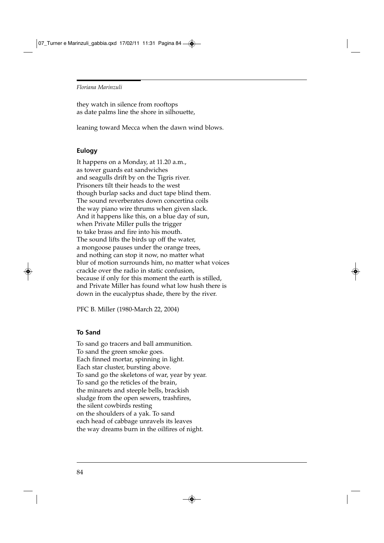they watch in silence from rooftops as date palms line the shore in silhouette,

leaning toward Mecca when the dawn wind blows.

## **Eulogy**

It happens on a Monday, at 11.20 a.m., as tower guards eat sandwiches and seagulls drift by on the Tigris river. Prisoners tilt their heads to the west though burlap sacks and duct tape blind them. The sound reverberates down concertina coils the way piano wire thrums when given slack. And it happens like this, on a blue day of sun, when Private Miller pulls the trigger to take brass and fire into his mouth. The sound lifts the birds up off the water, a mongoose pauses under the orange trees, and nothing can stop it now, no matter what blur of motion surrounds him, no matter what voices crackle over the radio in static confusion, because if only for this moment the earth is stilled, and Private Miller has found what low hush there is down in the eucalyptus shade, there by the river.

PFC B. Miller (1980-March 22, 2004)

#### **To Sand**

To sand go tracers and ball ammunition. To sand the green smoke goes. Each finned mortar, spinning in light. Each star cluster, bursting above. To sand go the skeletons of war, year by year. To sand go the reticles of the brain, the minarets and steeple bells, brackish sludge from the open sewers, trashfires, the silent cowbirds resting on the shoulders of a yak. To sand each head of cabbage unravels its leaves the way dreams burn in the oilfires of night.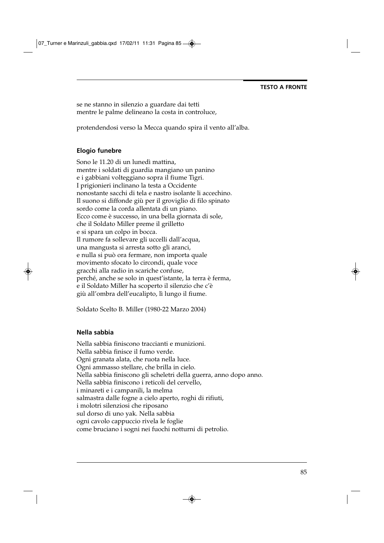se ne stanno in silenzio a guardare dai tetti mentre le palme delineano la costa in controluce,

protendendosi verso la Mecca quando spira il vento all'alba.

## **Elogio funebre**

Sono le 11.20 di un lunedì mattina, mentre i soldati di guardia mangiano un panino e i gabbiani volteggiano sopra il fiume Tigri. I prigionieri inclinano la testa a Occidente nonostante sacchi di tela e nastro isolante li accechino. Il suono si diffonde giù per il groviglio di filo spinato sordo come la corda allentata di un piano. Ecco come è successo, in una bella giornata di sole, che il Soldato Miller preme il grilletto e si spara un colpo in bocca. Il rumore fa sollevare gli uccelli dall'acqua, una mangusta si arresta sotto gli aranci, e nulla si può ora fermare, non importa quale movimento sfocato lo circondi, quale voce gracchi alla radio in scariche confuse, perché, anche se solo in quest'istante, la terra è ferma, e il Soldato Miller ha scoperto il silenzio che c'è giù all'ombra dell'eucalipto, lì lungo il fiume.

Soldato Scelto B. Miller (1980-22 Marzo 2004)

#### **Nella sabbia**

Nella sabbia finiscono traccianti e munizioni. Nella sabbia finisce il fumo verde. Ogni granata alata, che ruota nella luce. Ogni ammasso stellare, che brilla in cielo. Nella sabbia finiscono gli scheletri della guerra, anno dopo anno. Nella sabbia finiscono i reticoli del cervello, i minareti e i campanili, la melma salmastra dalle fogne a cielo aperto, roghi di rifiuti, i molotri silenziosi che riposano sul dorso di uno yak. Nella sabbia ogni cavolo cappuccio rivela le foglie come bruciano i sogni nei fuochi notturni di petrolio.

85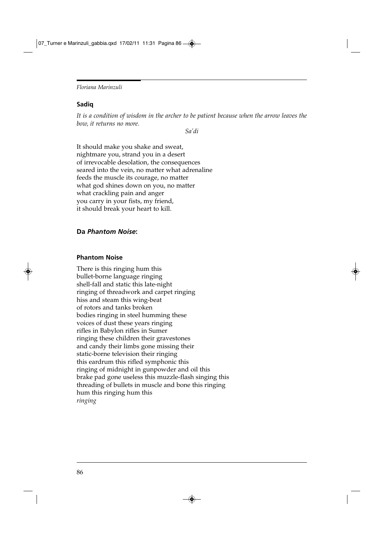## **Sadiq**

*It is a condition of wisdom in the archer to be patient because when the arrow leaves the bow, it returns no more.*

*Sa'di*

It should make you shake and sweat, nightmare you, strand you in a desert of irrevocable desolation, the consequences seared into the vein, no matter what adrenaline feeds the muscle its courage, no matter what god shines down on you, no matter what crackling pain and anger you carry in your fists, my friend, it should break your heart to kill.

# **Da** *Phantom Noise***:**

## **Phantom Noise**

There is this ringing hum this bullet-borne language ringing shell-fall and static this late-night ringing of threadwork and carpet ringing hiss and steam this wing-beat of rotors and tanks broken bodies ringing in steel humming these voices of dust these years ringing rifles in Babylon rifles in Sumer ringing these children their gravestones and candy their limbs gone missing their static-borne television their ringing this eardrum this rifled symphonic this ringing of midnight in gunpowder and oil this brake pad gone useless this muzzle-flash singing this threading of bullets in muscle and bone this ringing hum this ringing hum this *ringing*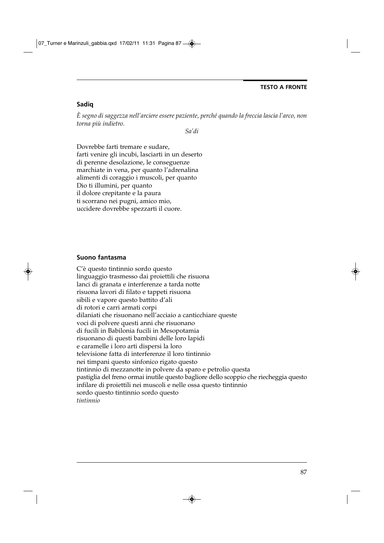## **Sadiq**

*È segno di saggezza nell'arciere essere paziente, perché quando la freccia lascia l'arco, non torna più indietro.*

*Sa'di*

Dovrebbe farti tremare e sudare, farti venire gli incubi, lasciarti in un deserto di perenne desolazione, le conseguenze marchiate in vena, per quanto l'adrenalina alimenti di coraggio i muscoli, per quanto Dio ti illumini, per quanto il dolore crepitante e la paura ti scorrano nei pugni, amico mio, uccidere dovrebbe spezzarti il cuore.

### **Suono fantasma**

C'è questo tintinnio sordo questo linguaggio trasmesso dai proiettili che risuona lanci di granata e interferenze a tarda notte risuona lavori di filato e tappeti risuona sibili e vapore questo battito d'ali di rotori e carri armati corpi dilaniati che risuonano nell'acciaio a canticchiare queste voci di polvere questi anni che risuonano di fucili in Babilonia fucili in Mesopotamia risuonano di questi bambini delle loro lapidi e caramelle i loro arti dispersi la loro televisione fatta di interferenze il loro tintinnio nei timpani questo sinfonico rigato questo tintinnio di mezzanotte in polvere da sparo e petrolio questa pastiglia del freno ormai inutile questo bagliore dello scoppio che riecheggia questo infilare di proiettili nei muscoli e nelle ossa questo tintinnio sordo questo tintinnio sordo questo *tintinnio*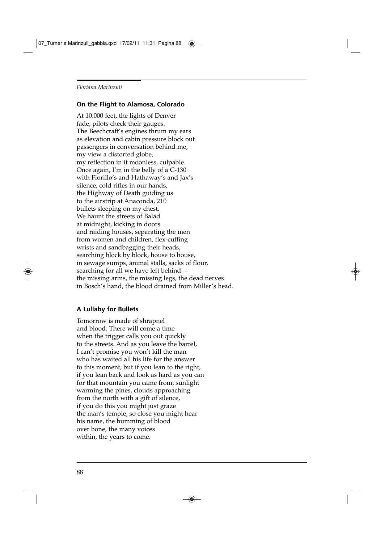## **On the Flight to Alamosa, Colorado**

At 10.000 feet, the lights of Denver fade, pilots check their gauges. The Beechcraft's engines thrum my ears as elevation and cabin pressure block out passengers in conversation behind me, my view a distorted globe, my reflection in it moonless, culpable. Once again, I'm in the belly of a C-130 with Fiorillo's and Hathaway's and Jax's silence, cold rifles in our hands, the Highway of Death guiding us to the airstrip at Anaconda, 210 bullets sleeping on my chest. We haunt the streets of Balad at midnight, kicking in doors and raiding houses, separating the men from women and children, flex-cuffing wrists and sandbagging their heads, searching block by block, house to house, in sewage sumps, animal stalls, sacks of flour, searching for all we have left behind the missing arms, the missing legs, the dead nerves in Bosch's hand, the blood drained from Miller's head.

#### **A Lullaby for Bullets**

Tomorrow is made of shrapnel and blood. There will come a time when the trigger calls you out quickly to the streets. And as you leave the barrel, I can't promise you won't kill the man who has waited all his life for the answer to this moment, but if you lean to the right, if you lean back and look as hard as you can for that mountain you came from, sunlight warming the pines, clouds approaching from the north with a gift of silence, if you do this you might just graze the man's temple, so close you might hear his name, the humming of blood over bone, the many voices within, the years to come.